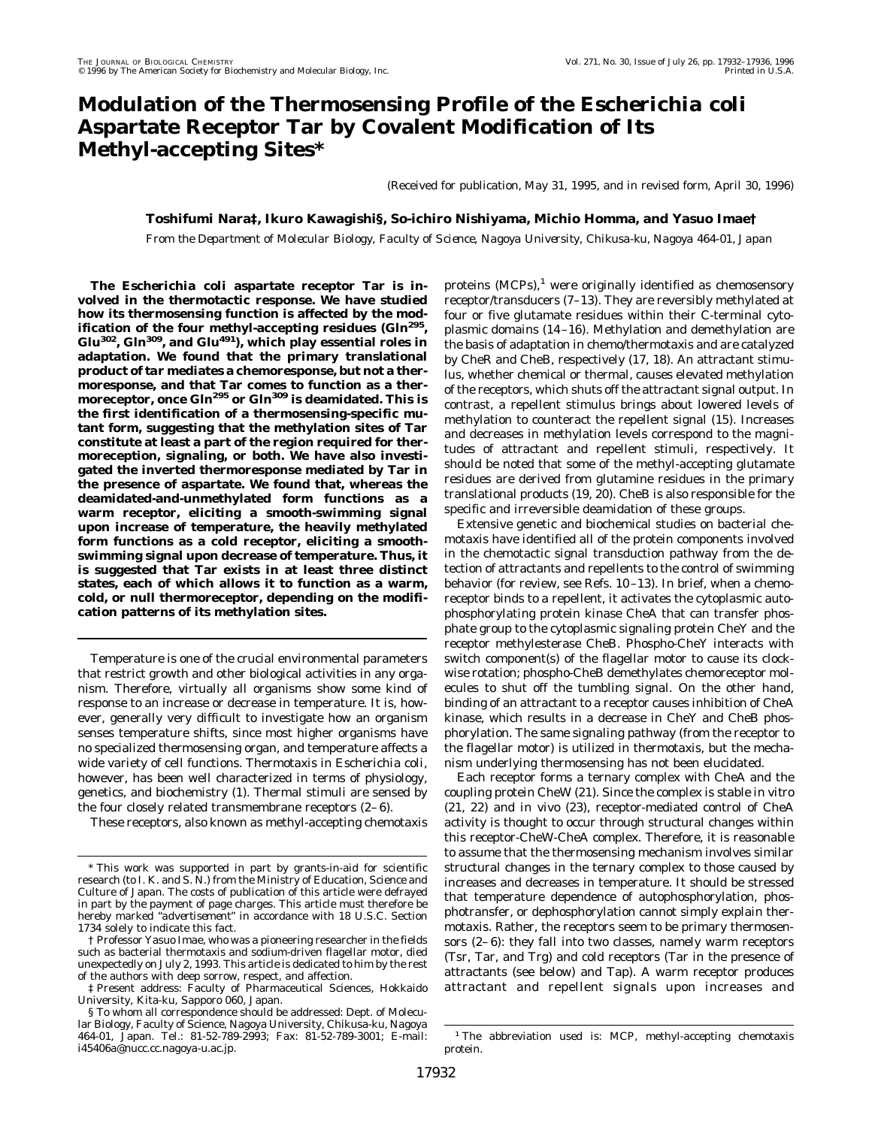# **Modulation of the Thermosensing Profile of the** *Escherichia coli* **Aspartate Receptor Tar by Covalent Modification of Its Methyl-accepting Sites\***

(Received for publication, May 31, 1995, and in revised form, April 30, 1996)

## **Toshifumi Nara‡, Ikuro Kawagishi§, So-ichiro Nishiyama, Michio Homma, and Yasuo Imae†**

*From the Department of Molecular Biology, Faculty of Science, Nagoya University, Chikusa-ku, Nagoya 464-01, Japan*

**The** *Escherichia coli* **aspartate receptor Tar is involved in the thermotactic response. We have studied how its thermosensing function is affected by the modification of the four methyl-accepting residues (Gln295, Glu302, Gln309, and Glu491), which play essential roles in adaptation. We found that the primary translational product of** *tar* **mediates a chemoresponse, but not a thermoresponse, and that Tar comes to function as a thermoreceptor, once Gln295 or Gln309 is deamidated. This is the first identification of a thermosensing-specific mutant form, suggesting that the methylation sites of Tar constitute at least a part of the region required for thermoreception, signaling, or both. We have also investigated the inverted thermoresponse mediated by Tar in the presence of aspartate. We found that, whereas the deamidated-and-unmethylated form functions as a warm receptor, eliciting a smooth-swimming signal upon increase of temperature, the heavily methylated form functions as a cold receptor, eliciting a smoothswimming signal upon decrease of temperature. Thus, it is suggested that Tar exists in at least three distinct states, each of which allows it to function as a warm, cold, or null thermoreceptor, depending on the modification patterns of its methylation sites.**

Temperature is one of the crucial environmental parameters that restrict growth and other biological activities in any organism. Therefore, virtually all organisms show some kind of response to an increase or decrease in temperature. It is, however, generally very difficult to investigate how an organism senses temperature shifts, since most higher organisms have no specialized thermosensing organ, and temperature affects a wide variety of cell functions. Thermotaxis in *Escherichia coli*, however, has been well characterized in terms of physiology, genetics, and biochemistry (1). Thermal stimuli are sensed by the four closely related transmembrane receptors  $(2-6)$ .

These receptors, also known as methyl-accepting chemotaxis

proteins  $(MCPs)$ ,<sup>1</sup> were originally identified as chemosensory receptor/transducers (7–13). They are reversibly methylated at four or five glutamate residues within their C-terminal cytoplasmic domains (14 –16). Methylation and demethylation are the basis of adaptation in chemo/thermotaxis and are catalyzed by CheR and CheB, respectively (17, 18). An attractant stimulus, whether chemical or thermal, causes elevated methylation of the receptors, which shuts off the attractant signal output. In contrast, a repellent stimulus brings about lowered levels of methylation to counteract the repellent signal (15). Increases and decreases in methylation levels correspond to the magnitudes of attractant and repellent stimuli, respectively. It should be noted that some of the methyl-accepting glutamate residues are derived from glutamine residues in the primary translational products (19, 20). CheB is also responsible for the specific and irreversible deamidation of these groups.

Extensive genetic and biochemical studies on bacterial chemotaxis have identified all of the protein components involved in the chemotactic signal transduction pathway from the detection of attractants and repellents to the control of swimming behavior (for review, see Refs. 10 –13). In brief, when a chemoreceptor binds to a repellent, it activates the cytoplasmic autophosphorylating protein kinase CheA that can transfer phosphate group to the cytoplasmic signaling protein CheY and the receptor methylesterase CheB. Phospho-CheY interacts with switch component(s) of the flagellar motor to cause its clockwise rotation; phospho-CheB demethylates chemoreceptor molecules to shut off the tumbling signal. On the other hand, binding of an attractant to a receptor causes inhibition of CheA kinase, which results in a decrease in CheY and CheB phosphorylation. The same signaling pathway (from the receptor to the flagellar motor) is utilized in thermotaxis, but the mechanism underlying thermosensing has not been elucidated.

Each receptor forms a ternary complex with CheA and the coupling protein CheW (21). Since the complex is stable *in vitro* (21, 22) and *in vivo* (23), receptor-mediated control of CheA activity is thought to occur through structural changes within this receptor-CheW-CheA complex. Therefore, it is reasonable to assume that the thermosensing mechanism involves similar structural changes in the ternary complex to those caused by increases and decreases in temperature. It should be stressed that temperature dependence of autophosphorylation, phosphotransfer, or dephosphorylation cannot simply explain thermotaxis. Rather, the receptors seem to be primary thermosensors  $(2-6)$ : they fall into two classes, namely warm receptors (Tsr, Tar, and Trg) and cold receptors (Tar in the presence of attractants (see below) and Tap). A warm receptor produces attractant and repellent signals upon increases and

<sup>\*</sup> This work was supported in part by grants-in-aid for scientific research (to I. K. and S. N.) from the Ministry of Education, Science and Culture of Japan. The costs of publication of this article were defrayed in part by the payment of page charges. This article must therefore be hereby marked "*advertisement*" in accordance with 18 U.S.C. Section 1734 solely to indicate this fact.

<sup>†</sup> Professor Yasuo Imae, who was a pioneering researcher in the fields such as bacterial thermotaxis and sodium-driven flagellar motor, died unexpectedly on July 2, 1993. This article is dedicated to him by the rest of the authors with deep sorrow, respect, and affection.

<sup>‡</sup> Present address: Faculty of Pharmaceutical Sciences, Hokkaido University, Kita-ku, Sapporo 060, Japan.

<sup>§</sup> To whom all correspondence should be addressed: Dept. of Molecular Biology, Faculty of Science, Nagoya University, Chikusa-ku, Nagoya 464-01, Japan. Tel.: 81-52-789-2993; Fax: 81-52-789-3001; E-mail: i45406a@nucc.cc.nagoya-u.ac.jp.

<sup>&</sup>lt;sup>1</sup> The abbreviation used is: MCP, methyl-accepting chemotaxis protein.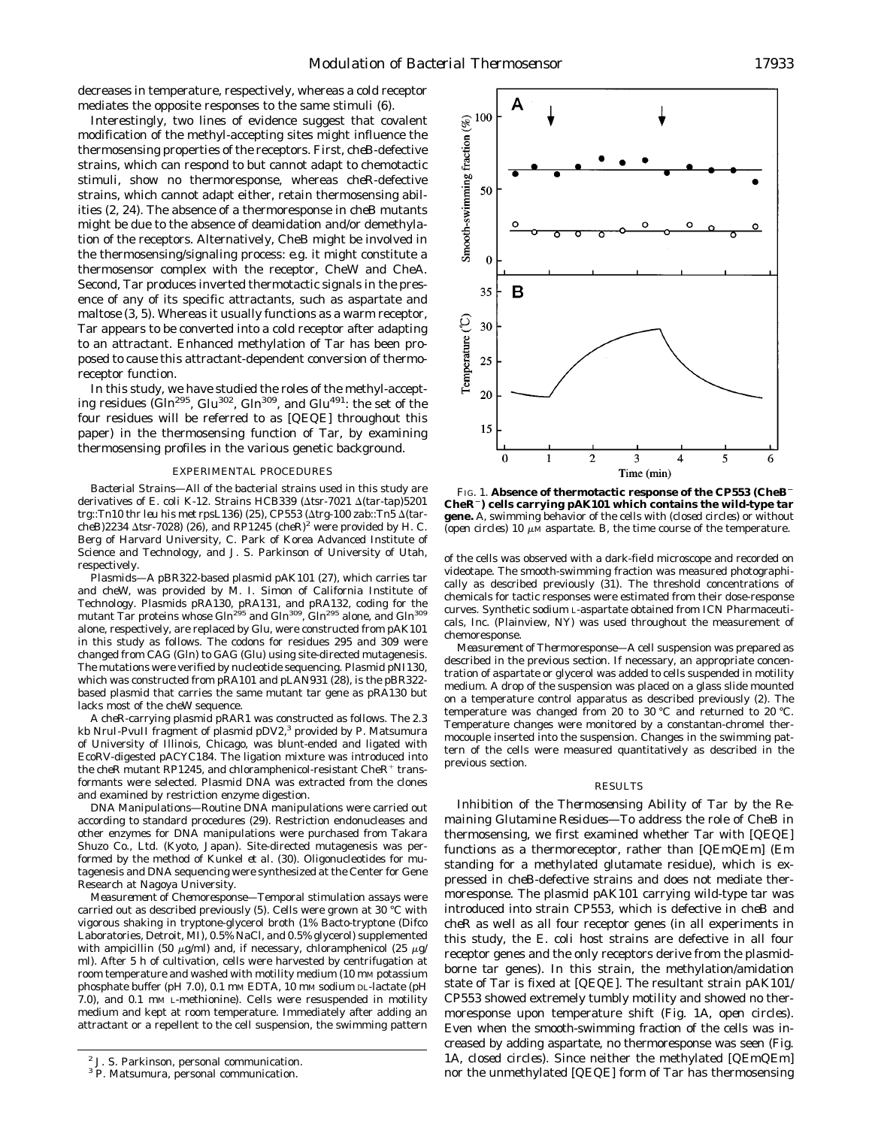decreases in temperature, respectively, whereas a cold receptor mediates the opposite responses to the same stimuli (6).

Interestingly, two lines of evidence suggest that covalent modification of the methyl-accepting sites might influence the thermosensing properties of the receptors. First, *cheB*-defective strains, which can respond to but cannot adapt to chemotactic stimuli, show no thermoresponse, whereas *cheR*-defective strains, which cannot adapt either, retain thermosensing abilities (2, 24). The absence of a thermoresponse in *cheB* mutants might be due to the absence of deamidation and/or demethylation of the receptors. Alternatively, CheB might be involved in the thermosensing/signaling process: *e.g.* it might constitute a thermosensor complex with the receptor, CheW and CheA. Second, Tar produces inverted thermotactic signals in the presence of any of its specific attractants, such as aspartate and maltose (3, 5). Whereas it usually functions as a warm receptor, Tar appears to be converted into a cold receptor after adapting to an attractant. Enhanced methylation of Tar has been proposed to cause this attractant-dependent conversion of thermoreceptor function.

In this study, we have studied the roles of the methyl-accepting residues ( $Gln<sup>295</sup>$ ,  $Glu<sup>302</sup>$ ,  $Gln<sup>309</sup>$ , and  $Glu<sup>491</sup>$ : the set of the four residues will be referred to as [QEQE] throughout this paper) in the thermosensing function of Tar, by examining thermosensing profiles in the various genetic background.

### EXPERIMENTAL PROCEDURES

*Bacterial Strains—*All of the bacterial strains used in this study are derivatives of *E. coli* K-12. Strains HCB339 (Δtsr-7021 Δ(tar-tap)5201 *trg*::Tn*10 thr leu his met rpsL136*) (25), CP553 (D*trg-100 zab::*Tn*5* D(*tar* $c\bar{h}eB$ )2234  $\Delta t$ sr-7028) (26), and RP1245 ( $cheR$ )<sup>2</sup> were provided by H. C. Berg of Harvard University, C. Park of Korea Advanced Institute of Science and Technology, and J. S. Parkinson of University of Utah, respectively.

*Plasmids—*A pBR322-based plasmid pAK101 (27), which carries *tar* and *cheW*, was provided by M. I. Simon of California Institute of Technology. Plasmids pRA130, pRA131, and pRA132, coding for the mutant Tar proteins whose Gln<sup>295</sup> and Gln<sup>309</sup>, Gln<sup>295</sup> alone, and Gln<sup>309</sup> alone, respectively, are replaced by Glu, were constructed from pAK101 in this study as follows. The codons for residues 295 and 309 were changed from CAG (Gln) to GAG (Glu) using site-directed mutagenesis. The mutations were verified by nucleotide sequencing. Plasmid pNI130, which was constructed from pRA101 and pLAN931 (28), is the pBR322 based plasmid that carries the same mutant *tar* gene as pRA130 but lacks most of the *cheW* sequence.

A *cheR*-carrying plasmid pRAR1 was constructed as follows. The 2.3 kb *Nru*I-*Pvu*II fragment of plasmid pDV2,<sup>3</sup> provided by P. Matsumura of University of Illinois, Chicago, was blunt-ended and ligated with *Eco*RV-digested pACYC184. The ligation mixture was introduced into the *cheR* mutant RP1245, and chloramphenicol-resistant CheR<sup>+</sup> transformants were selected. Plasmid DNA was extracted from the clones and examined by restriction enzyme digestion.

*DNA Manipulations—*Routine DNA manipulations were carried out according to standard procedures (29). Restriction endonucleases and other enzymes for DNA manipulations were purchased from Takara Shuzo Co., Ltd. (Kyoto, Japan). Site-directed mutagenesis was performed by the method of Kunkel *et al.* (30). Oligonucleotides for mutagenesis and DNA sequencing were synthesized at the Center for Gene Research at Nagoya University.

*Measurement of Chemoresponse—*Temporal stimulation assays were carried out as described previously (5). Cells were grown at 30 °C with vigorous shaking in tryptone-glycerol broth (1% Bacto-tryptone (Difco Laboratories, Detroit, MI), 0.5% NaCl, and 0.5% glycerol) supplemented with ampicillin (50  $\mu$ g/ml) and, if necessary, chloramphenicol (25  $\mu$ g/ ml). After 5 h of cultivation, cells were harvested by centrifugation at room temperature and washed with motility medium (10 mM potassium phosphate buffer (pH 7.0), 0.1 mM EDTA, 10 mM sodium DL-lactate (pH  $7.0$ , and 0.1 mm L-methionine). Cells were resuspended in motility medium and kept at room temperature. Immediately after adding an attractant or a repellent to the cell suspension, the swimming pattern



FIG. 1. **Absence of thermotactic response of the CP553 (CheB<sup>-</sup> CheR**2**) cells carrying pAK101 which contains the wild-type** *tar* **gene.** *A*, swimming behavior of the cells with (*closed circles*) or without (*open circles*) 10  $\mu$ M aspartate. *B*, the time course of the temperature.

of the cells was observed with a dark-field microscope and recorded on videotape. The smooth-swimming fraction was measured photographically as described previously (31). The threshold concentrations of chemicals for tactic responses were estimated from their dose-response curves. Synthetic sodium L-aspartate obtained from ICN Pharmaceuticals, Inc. (Plainview, NY) was used throughout the measurement of chemoresponse.

*Measurement of Thermoresponse—*A cell suspension was prepared as described in the previous section. If necessary, an appropriate concentration of aspartate or glycerol was added to cells suspended in motility medium. A drop of the suspension was placed on a glass slide mounted on a temperature control apparatus as described previously (2). The temperature was changed from 20 to 30 °C and returned to 20 °C. Temperature changes were monitored by a constantan-chromel thermocouple inserted into the suspension. Changes in the swimming pattern of the cells were measured quantitatively as described in the previous section.

#### RESULTS

*Inhibition of the Thermosensing Ability of Tar by the Remaining Glutamine Residues—*To address the role of CheB in thermosensing, we first examined whether Tar with [QEQE] functions as a thermoreceptor, rather than [QEmQEm] (Em standing for a methylated glutamate residue), which is expressed in *cheB*-defective strains and does not mediate thermoresponse. The plasmid pAK101 carrying wild-type *tar* was introduced into strain CP553, which is defective in *cheB* and *cheR* as well as all four receptor genes (in all experiments in this study, the *E. coli* host strains are defective in all four receptor genes and the only receptors derive from the plasmidborne *tar* genes). In this strain, the methylation/amidation state of Tar is fixed at [QEQE]. The resultant strain pAK101/ CP553 showed extremely tumbly motility and showed no thermoresponse upon temperature shift (Fig. 1*A*, *open circles*). Even when the smooth-swimming fraction of the cells was increased by adding aspartate, no thermoresponse was seen (Fig. 1*A*, *closed circles*). Since neither the methylated [QEmQEm] nor the unmethylated [QEQE] form of Tar has thermosensing

<sup>2</sup> J. S. Parkinson, personal communication.

<sup>3</sup> P. Matsumura, personal communication.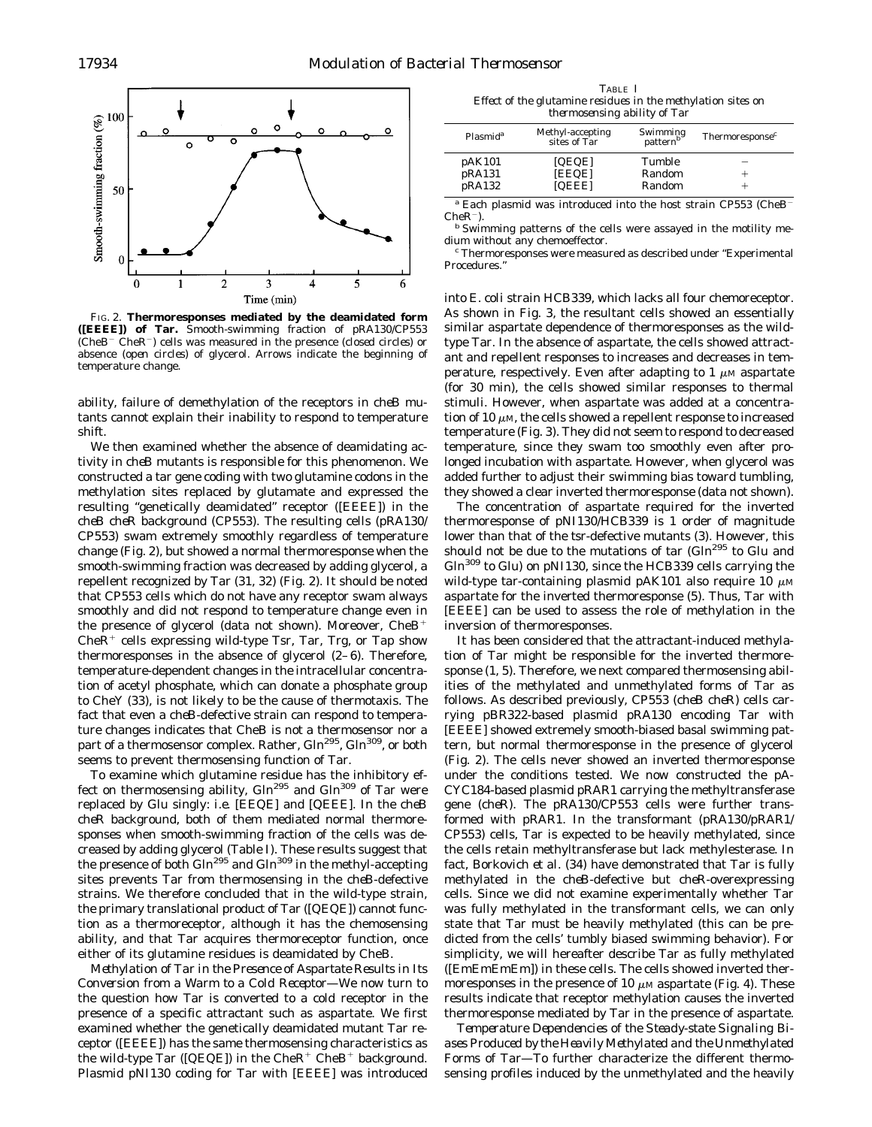

FIG. 2. **Thermoresponses mediated by the deamidated form ([EEEE]) of Tar.** Smooth-swimming fraction of pRA130/CP553 (CheB<sup>-</sup> CheR<sup>-</sup>) cells was measured in the presence (*closed circles*) or absence (*open circles*) of glycerol. *Arrows* indicate the beginning of temperature change.

ability, failure of demethylation of the receptors in *cheB* mutants *cannot* explain their inability to respond to temperature shift.

We then examined whether the absence of deamidating activity in *cheB* mutants is responsible for this phenomenon. We constructed a *tar* gene coding with two glutamine codons in the methylation sites replaced by glutamate and expressed the resulting "genetically deamidated" receptor ([EEEE]) in the *cheB cheR* background (CP553). The resulting cells (pRA130/ CP553) swam extremely smoothly regardless of temperature change (Fig. 2), but showed a normal thermoresponse when the smooth-swimming fraction was decreased by adding glycerol, a repellent recognized by Tar (31, 32) (Fig. 2). It should be noted that CP553 cells which do not have any receptor swam always smoothly and did not respond to temperature change even in the presence of glycerol (data not shown). Moreover,  $CheB<sup>+</sup>$  $CheR<sup>+</sup>$  cells expressing wild-type Tsr, Tar, Trg, or Tap show thermoresponses in the absence of glycerol  $(2-6)$ . Therefore, temperature-dependent changes in the intracellular concentration of acetyl phosphate, which can donate a phosphate group to CheY (33), is not likely to be the cause of thermotaxis. The fact that even a *cheB*-defective strain can respond to temperature changes indicates that CheB is *not* a thermosensor nor a part of a thermosensor complex. Rather, Gln<sup>295</sup>, Gln<sup>309</sup>, or both seems to prevent thermosensing function of Tar.

To examine which glutamine residue has the inhibitory effect on thermosensing ability, Gln<sup>295</sup> and Gln<sup>309</sup> of Tar were replaced by Glu singly: *i.e.* [EEQE] and [QEEE]. In the *cheB cheR* background, both of them mediated normal thermoresponses when smooth-swimming fraction of the cells was decreased by adding glycerol (Table I). These results suggest that the presence of both  $Gln<sup>295</sup>$  and  $Gln<sup>309</sup>$  in the methyl-accepting sites prevents Tar from thermosensing in the *cheB*-defective strains. We therefore concluded that in the wild-type strain, the primary translational product of Tar ([QEQE]) cannot function as a thermoreceptor, although it has the chemosensing ability, and that Tar acquires thermoreceptor function, once either of its glutamine residues is deamidated by CheB.

*Methylation of Tar in the Presence of Aspartate Results in Its Conversion from a Warm to a Cold Receptor—*We now turn to the question how Tar is converted to a cold receptor in the presence of a specific attractant such as aspartate. We first examined whether the genetically deamidated mutant Tar receptor ([EEEE]) has the same thermosensing characteristics as the wild-type Tar ([QEQE]) in the  $CheR^+ CheB^+$  background. Plasmid pNI130 coding for Tar with [EEEE] was introduced

TABLE I *Effect of the glutamine residues in the methylation sites on thermosensing ability of Tar*

| Plasmid <sup>a</sup>        | Methyl-accepting<br>sites of Tar           | Swimming<br>pattern <sup>b</sup> | Thermoresponse <sup><math>c</math></sup> |
|-----------------------------|--------------------------------------------|----------------------------------|------------------------------------------|
| pAK101                      | [QEQE]                                     | Tumble                           |                                          |
| pRA131                      | [EEQE]                                     | Random                           |                                          |
| pRA132                      | [QEEE]                                     | Random                           |                                          |
| . .<br>$\sim$ $\sim$ $\sim$ | $\cdot$ $\cdot$<br>$\cdot$ $\cdot$ $\cdot$ | .<br>.                           | $\alpha$<br>$\sim$ $-$                   |

 $a^a$  Each plasmid was introduced into the host strain CP553 (CheB<sub>CheR</sub><sup>-</sup>).

 $^{\rm b}$  Swimming patterns of the cells were assayed in the motility medium without any chemoeffector.

<sup>c</sup> Thermoresponses were measured as described under "Experimental" Procedures."

into *E. coli* strain HCB339, which lacks all four chemoreceptor. As shown in Fig. 3, the resultant cells showed an essentially similar aspartate dependence of thermoresponses as the wildtype Tar. In the absence of aspartate, the cells showed attractant and repellent responses to increases and decreases in temperature, respectively. Even after adapting to 1  $\mu$ M aspartate (for 30 min), the cells showed similar responses to thermal stimuli. However, when aspartate was added at a concentration of 10  $\mu$ M, the cells showed a repellent response to increased temperature (Fig. 3). They did not seem to respond to decreased temperature, since they swam too smoothly even after prolonged incubation with aspartate. However, when glycerol was added further to adjust their swimming bias toward tumbling, they showed a clear inverted thermoresponse (data not shown).

The concentration of aspartate required for the inverted thermoresponse of pNI130/HCB339 is 1 order of magnitude lower than that of the *tsr*-defective mutants (3). However, this should not be due to the mutations of *tar* (Gln<sup>295</sup> to Glu and Gln<sup>309</sup> to Glu) on pNI130, since the HCB339 cells carrying the wild-type *tar*-containing plasmid pAK101 also require 10  $\mu$ M aspartate for the inverted thermoresponse (5). Thus, Tar with [EEEE] can be used to assess the role of methylation in the inversion of thermoresponses.

It has been considered that the attractant-induced methylation of Tar might be responsible for the inverted thermoresponse (1, 5). Therefore, we next compared thermosensing abilities of the methylated and unmethylated forms of Tar as follows. As described previously, CP553 (*cheB cheR*) cells carrying pBR322-based plasmid pRA130 encoding Tar with [EEEE] showed extremely smooth-biased basal swimming pattern, but normal thermoresponse in the presence of glycerol (Fig. 2). The cells never showed an inverted thermoresponse under the conditions tested. We now constructed the pA-CYC184-based plasmid pRAR1 carrying the methyltransferase gene (*cheR*). The pRA130/CP553 cells were further transformed with pRAR1. In the transformant (pRA130/pRAR1/ CP553) cells, Tar is expected to be heavily methylated, since the cells retain methyltransferase but lack methylesterase. In fact, Borkovich *et al.* (34) have demonstrated that Tar is fully methylated in the *cheB*-defective but *cheR*-overexpressing cells. Since we did not examine experimentally whether Tar was fully methylated in the transformant cells, we can only state that Tar must be heavily methylated (this can be predicted from the cells' tumbly biased swimming behavior). For simplicity, we will hereafter describe Tar as fully methylated ([EmEmEmEm]) in these cells. The cells showed inverted thermoresponses in the presence of 10  $\mu$ M aspartate (Fig. 4). These results indicate that receptor methylation causes the inverted thermoresponse mediated by Tar in the presence of aspartate.

*Temperature Dependencies of the Steady-state Signaling Biases Produced by the Heavily Methylated and the Unmethylated Forms of Tar—*To further characterize the different thermosensing profiles induced by the unmethylated and the heavily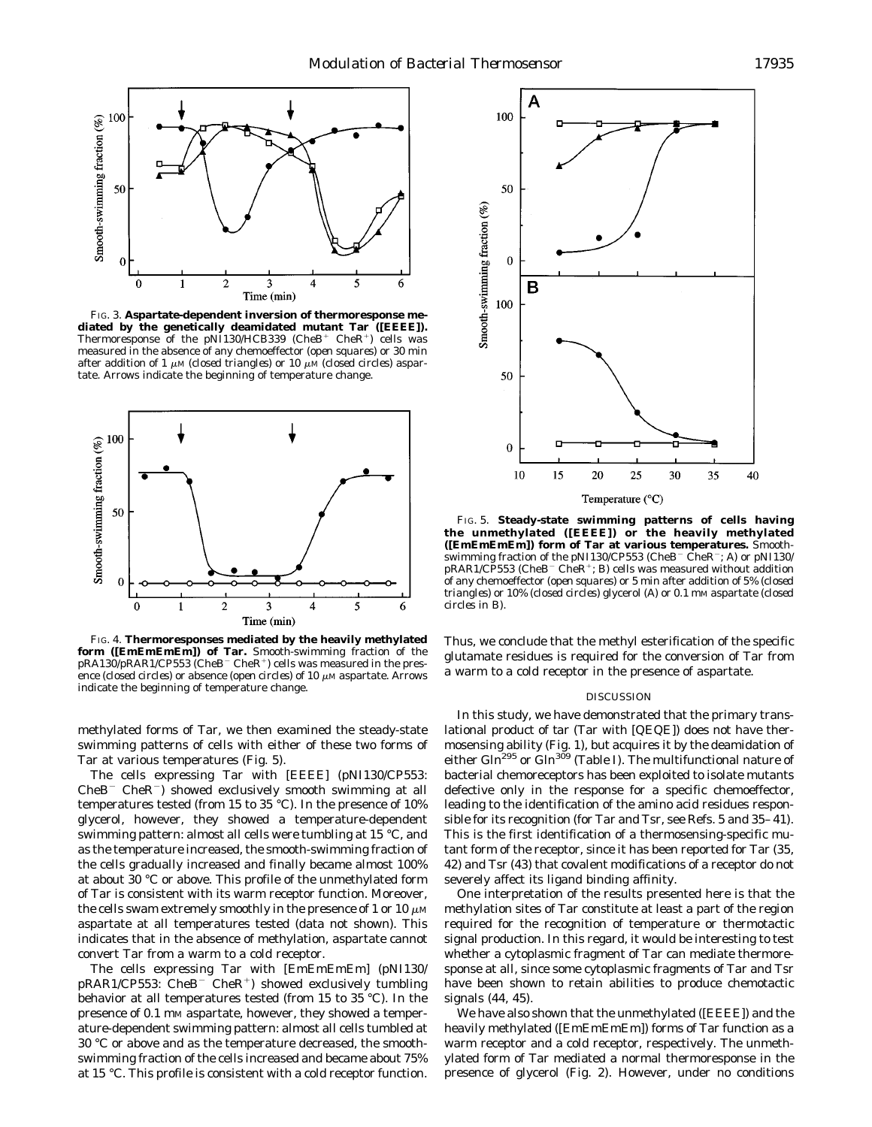

FIG. 3. **Aspartate-dependent inversion of thermoresponse mediated by the genetically deamidated mutant Tar ([EEEE]).** Thermoresponse of the pNI130/HCB339 (CheB<sup>+</sup> CheR<sup>+</sup>) cells was measured in the absence of any chemoeffector (*open squares*) or 30 min after addition of 1 μM (*closed triangles*) or 10 μM (*closed circles*) aspartate. *Arrows* indicate the beginning of temperature change.



FIG. 4. **Thermoresponses mediated by the heavily methylated form ([EmEmEmEm]) of Tar.** Smooth-swimming fraction of the  $pRA130/pRAR1/CP553$  (CheB<sup>-</sup> CheR<sup>+</sup>) cells was measured in the presence (*closed circles*) or absence (*open circles*) of 10 μM aspartate. *Arrows* indicate the beginning of temperature change.

methylated forms of Tar, we then examined the steady-state swimming patterns of cells with either of these two forms of Tar at various temperatures (Fig. 5).

The cells expressing Tar with [EEEE] (pNI130/CP553:  $CheB^-$  Che $R^-$ ) showed exclusively smooth swimming at all temperatures tested (from 15 to 35 °C). In the presence of 10% glycerol, however, they showed a temperature-dependent swimming pattern: almost all cells were tumbling at 15 °C, and as the temperature increased, the smooth-swimming fraction of the cells gradually increased and finally became almost 100% at about 30 °C or above. This profile of the unmethylated form of Tar is consistent with its warm receptor function. Moreover, the cells swam extremely smoothly in the presence of 1 or 10  $\mu$ M aspartate at all temperatures tested (data not shown). This indicates that in the absence of methylation, aspartate cannot convert Tar from a warm to a cold receptor.

The cells expressing Tar with [EmEmEmEm] (pNI130/  $pRAR1/CP553$ : CheB<sup>-</sup> CheR<sup>+</sup>) showed exclusively tumbling behavior at all temperatures tested (from 15 to 35 °C). In the presence of 0.1 mm aspartate, however, they showed a temperature-dependent swimming pattern: almost all cells tumbled at 30 °C or above and as the temperature decreased, the smoothswimming fraction of the cells increased and became about 75% at 15 °C. This profile is consistent with a cold receptor function.



FIG. 5. **Steady-state swimming patterns of cells having the unmethylated ([EEEE]) or the heavily methylated ([EmEmEmEm]) form of Tar at various temperatures.** Smoothswimming fraction of the pNI130/CP553 (CheB<sup>-</sup> CheR<sup>-</sup>; *A*) or pNI130/  $pRAR1/CP553$  (CheB<sup>-</sup> CheR<sup>+</sup>; *B*) cells was measured without addition of any chemoeffector (*open squares*) or 5 min after addition of 5% (*closed triangles*) or 10% (*closed circles*) glycerol (*A*) or 0.1 mM aspartate (*closed circles* in *B*).

Thus, we conclude that the methyl esterification of the specific glutamate residues is required for the conversion of Tar from a warm to a cold receptor in the presence of aspartate.

## DISCUSSION

In this study, we have demonstrated that the primary translational product of *tar* (Tar with [QEQE]) does not have thermosensing ability (Fig. 1), but acquires it by the deamidation of either Gln<sup>295</sup> or Gln<sup>309</sup> (Table I). The multifunctional nature of bacterial chemoreceptors has been exploited to isolate mutants defective only in the response for a specific chemoeffector, leading to the identification of the amino acid residues responsible for its recognition (for Tar and Tsr, see Refs. 5 and 35– 41). This is the first identification of a thermosensing-specific mutant form of the receptor, since it has been reported for Tar (35, 42) and Tsr (43) that covalent modifications of a receptor do not severely affect its ligand binding affinity.

One interpretation of the results presented here is that the methylation sites of Tar constitute at least a part of the region required for the recognition of temperature or thermotactic signal production. In this regard, it would be interesting to test whether a cytoplasmic fragment of Tar can mediate thermoresponse at all, since some cytoplasmic fragments of Tar and Tsr have been shown to retain abilities to produce chemotactic signals (44, 45).

We have also shown that the unmethylated ([EEEE]) and the heavily methylated ([EmEmEmEm]) forms of Tar function as a warm receptor and a cold receptor, respectively. The unmethylated form of Tar mediated a normal thermoresponse in the presence of glycerol (Fig. 2). However, under no conditions